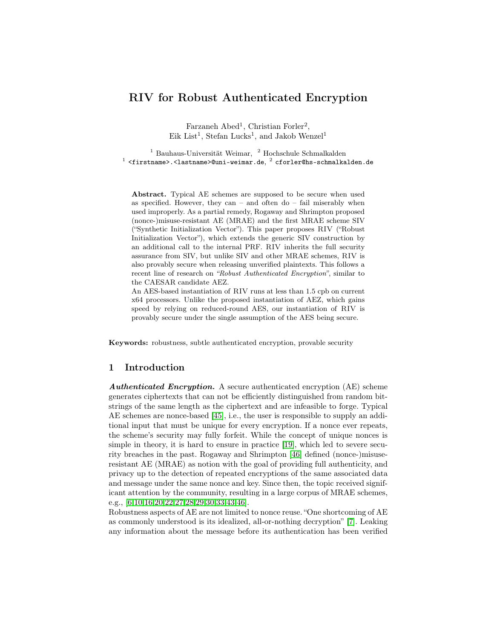# RIV for Robust Authenticated Encryption

Farzaneh Abed<sup>1</sup>, Christian Forler<sup>2</sup>, Eik List<sup>1</sup>, Stefan Lucks<sup>1</sup>, and Jakob Wenzel<sup>1</sup>

<sup>1</sup> Sauhaus-Universität Weimar, <sup>2</sup> Hochschule Schmalkalden<br>
<sup>1</sup> <firstname>.<lastname>@uni-weimar.de, <sup>2</sup> cforler@hs-schmalkalden.de

Abstract. Typical AE schemes are supposed to be secure when used as specified. However, they can – and often do – fail miserably when used improperly. As a partial remedy, Rogaway and Shrimpton proposed (nonce-)misuse-resistant AE (MRAE) and the first MRAE scheme SIV ("Synthetic Initialization Vector"). This paper proposes RIV ("Robust Initialization Vector"), which extends the generic SIV construction by an additional call to the internal PRF. RIV inherits the full security assurance from SIV, but unlike SIV and other MRAE schemes, RIV is also provably secure when releasing unverified plaintexts. This follows a recent line of research on *"Robust Authenticated Encryption"*, similar to the CAESAR candidate AEZ.

An AES-based instantiation of RIV runs at less than 1.5 cpb on current x64 processors. Unlike the proposed instantiation of AEZ, which gains speed by relying on reduced-round AES, our instantiation of RIV is provably secure under the single assumption of the AES being secure.

Keywords: robustness, subtle authenticated encryption, provable security

### 1 Introduction

Authenticated Encryption. A secure authenticated encryption (AE) scheme generates ciphertexts that can not be efficiently distinguished from random bitstrings of the same length as the ciphertext and are infeasible to forge. Typical AE schemes are nonce-based [45], i.e., the user is responsible to supply an additional input that must be unique for every encryption. If a nonce ever repeats, the scheme's security may fully forfeit. While the concept of unique nonces is simple in theory, it is hard to ensure in practice [19], which led to severe security breaches in the past. Rogaway and Shrimpton [46] defined (nonce-)misuseresistant AE (MRAE) as notion with the goal of providing full authenticity, and privacy up to the detection of repeated encryptions of the same associated data and message under the same nonce and key. Since then, the topic received significant attention by the community, resulting in a large corpus of MRAE schemes, e.g., [\[6,](#page-16-0)10,16[,20](#page-17-0)[,22,](#page-17-1)27,28[,29](#page-18-0)[,30](#page-18-1)[,33,](#page-18-2)[43,](#page-18-3)46].

Robustness aspects of AE are not limited to nonce reuse. "One shortcoming of AE as commonly understood is its idealized, all-or-nothing decryption" [\[7\]](#page-16-1). Leaking any information about the message before its authentication has been verified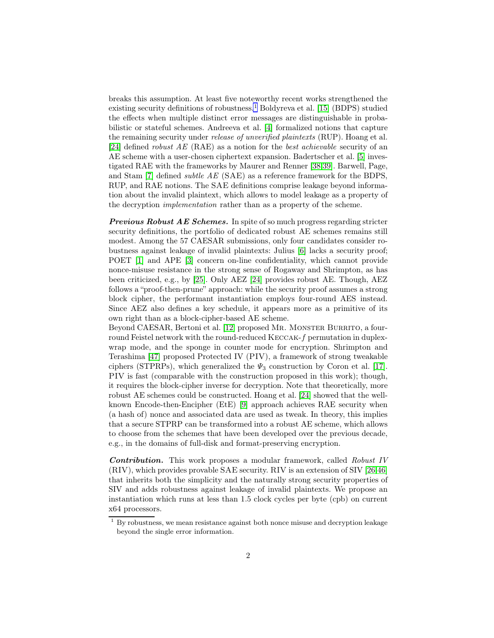breaks this assumption. At least five noteworthy recent works strengthened the existing security definitions of robustness.<sup>[1](#page-1-0)</sup> Boldyreva et al. [15] (BDPS) studied the effects when multiple distinct error messages are distinguishable in probabilistic or stateful schemes. Andreeva et al. [4] formalized notions that capture the remaining security under release of unverified plaintexts (RUP). Hoang et al. [24] defined robust AE (RAE) as a notion for the best achievable security of an AE scheme with a user-chosen ciphertext expansion. Badertscher et al. [\[5\]](#page-16-2) investigated RAE with the frameworks by Maurer and Renner [38,39]. Barwell, Page, and Stam [\[7\]](#page-16-1) defined subtle AE (SAE) as a reference framework for the BDPS, RUP, and RAE notions. The SAE definitions comprise leakage beyond information about the invalid plaintext, which allows to model leakage as a property of the decryption implementation rather than as a property of the scheme.

**Previous Robust AE Schemes.** In spite of so much progress regarding stricter security definitions, the portfolio of dedicated robust AE schemes remains still modest. Among the 57 CAESAR submissions, only four candidates consider robustness against leakage of invalid plaintexts: Julius [\[6\]](#page-16-0) lacks a security proof; POET [1] and APE [\[3\]](#page-16-3) concern on-line confidentiality, which cannot provide nonce-misuse resistance in the strong sense of Rogaway and Shrimpton, as has been criticized, e.g., by [25]. Only AEZ [24] provides robust AE. Though, AEZ follows a "proof-then-prune" approach: while the security proof assumes a strong block cipher, the performant instantiation employs four-round AES instead. Since AEZ also defines a key schedule, it appears more as a primitive of its own right than as a block-cipher-based AE scheme.

Beyond CAESAR, Bertoni et al. [\[12\]](#page-17-2) proposed Mr. MONSTER BURRITO, a fourround Feistel network with the round-reduced KECCAK-f permutation in duplexwrap mode, and the sponge in counter mode for encryption. Shrimpton and Terashima [47] proposed Protected IV (PIV), a framework of strong tweakable ciphers (STPRPs), which generalized the  $\Psi_3$  construction by Coron et al. [17]. PIV is fast (comparable with the construction proposed in this work); though, it requires the block-cipher inverse for decryption. Note that theoretically, more robust AE schemes could be constructed. Hoang et al. [24] showed that the wellknown Encode-then-Encipher (EtE) [9] approach achieves RAE security when (a hash of) nonce and associated data are used as tweak. In theory, this implies that a secure STPRP can be transformed into a robust AE scheme, which allows to choose from the schemes that have been developed over the previous decade, e.g., in the domains of full-disk and format-preserving encryption.

Contribution. This work proposes a modular framework, called Robust IV (RIV), which provides provable SAE security. RIV is an extension of SIV [\[26,](#page-18-4)46] that inherits both the simplicity and the naturally strong security properties of SIV and adds robustness against leakage of invalid plaintexts. We propose an instantiation which runs at less than 1.5 clock cycles per byte (cpb) on current x64 processors.

<span id="page-1-0"></span> $1$  By robustness, we mean resistance against both nonce misuse and decryption leakage beyond the single error information.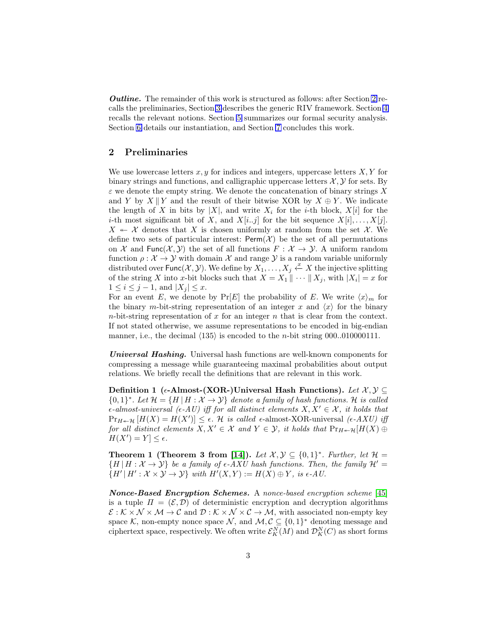*Outline.* The remainder of this work is structured as follows: after Section [2](#page-2-0) recalls the preliminaries, Section [3](#page-3-0) describes the generic RIV framework. Section [4](#page-4-0) recalls the relevant notions. Section [5](#page-7-0) summarizes our formal security analysis. Section [6](#page-9-0) details our instantiation, and Section [7](#page-15-0) concludes this work.

### <span id="page-2-0"></span>2 Preliminaries

We use lowercase letters  $x, y$  for indices and integers, uppercase letters  $X, Y$  for binary strings and functions, and calligraphic uppercase letters  $\mathcal{X}, \mathcal{Y}$  for sets. By  $\varepsilon$  we denote the empty string. We denote the concatenation of binary strings X and Y by  $X \parallel Y$  and the result of their bitwise XOR by  $X \oplus Y$ . We indicate the length of X in bits by |X|, and write  $X_i$  for the *i*-th block,  $X[i]$  for the *i*-th most significant bit of X, and  $X[i..j]$  for the bit sequence  $X[i], \ldots, X[j]$ .  $X \leftarrow \mathcal{X}$  denotes that X is chosen uniformly at random from the set X. We define two sets of particular interest:  $\text{Perm}(\mathcal{X})$  be the set of all permutations on X and Func $(X, Y)$  the set of all functions  $F: X \to Y$ . A uniform random function  $\rho: \mathcal{X} \to \mathcal{Y}$  with domain  $\mathcal{X}$  and range  $\mathcal{Y}$  is a random variable uniformly distributed over Func( $\mathcal{X}, \mathcal{Y}$ ). We define by  $X_1, \ldots, X_j \stackrel{x}{\leftarrow} X$  the injective splitting of the string X into x-bit blocks such that  $X = X_1 \parallel \cdots \parallel X_j$ , with  $|X_i| = x$  for  $1 \leq i \leq j-1$ , and  $|X_j| \leq x$ .

For an event E, we denote by  $Pr[E]$  the probability of E. We write  $\langle x \rangle_m$  for the binary m-bit-string representation of an integer x and  $\langle x \rangle$  for the binary n-bit-string representation of x for an integer n that is clear from the context. If not stated otherwise, we assume representations to be encoded in big-endian manner, i.e., the decimal  $\langle 135 \rangle$  is encoded to the *n*-bit string 000..010000111.

Universal Hashing. Universal hash functions are well-known components for compressing a message while guaranteeing maximal probabilities about output relations. We briefly recall the definitions that are relevant in this work.

Definition 1 ( $\epsilon$ -Almost-(XOR-)Universal Hash Functions). Let  $\mathcal{X}, \mathcal{Y} \subseteq$  ${0,1}^*$ . Let  $\mathcal{H} = {H | H : \mathcal{X} \to \mathcal{Y}}$  denote a family of hash functions. H is called  $\epsilon$ -almost-universal ( $\epsilon$ -AU) iff for all distinct elements  $X, X' \in \mathcal{X}$ , it holds that  $\Pr_{H \twoheadleftarrow \mathcal{H}} [H(X) = H(X')] \leq \epsilon$ . H is called  $\epsilon$ -almost-XOR-universal ( $\epsilon$ -AXU) iff for all distinct elements  $X, X' \in \mathcal{X}$  and  $Y \in \mathcal{Y}$ , it holds that  $Pr_{H \leftarrow \mathcal{H}}[H(X) \oplus$  $H(X') = Y \leq \epsilon.$ 

**Theorem 1 (Theorem 3 from [14]).** Let  $\mathcal{X}, \mathcal{Y} \subseteq \{0,1\}^*$ . Further, let  $\mathcal{H} =$  ${H | H : X \rightarrow Y}$  be a family of  $\epsilon$ -AXU hash functions. Then, the family  $\mathcal{H}' =$  $\{H' | H': \mathcal{X} \times \mathcal{Y} \to \mathcal{Y}\}$  with  $H'(X,Y) := H(X) \oplus Y$ , is  $\epsilon$ -AU.

Nonce-Based Encryption Schemes. A nonce-based encryption scheme [45] is a tuple  $\Pi = (\mathcal{E}, \mathcal{D})$  of deterministic encryption and decryption algorithms  $\mathcal{E}: \mathcal{K} \times \mathcal{N} \times \mathcal{M} \rightarrow \mathcal{C}$  and  $\mathcal{D}: \mathcal{K} \times \mathcal{N} \times \mathcal{C} \rightarrow \mathcal{M}$ , with associated non-empty key space K, non-empty nonce space N, and  $\mathcal{M}, \mathcal{C} \subseteq \{0,1\}^*$  denoting message and ciphertext space, respectively. We often write  $\mathcal{E}_K^N(M)$  and  $\mathcal{D}_K^N(C)$  as short forms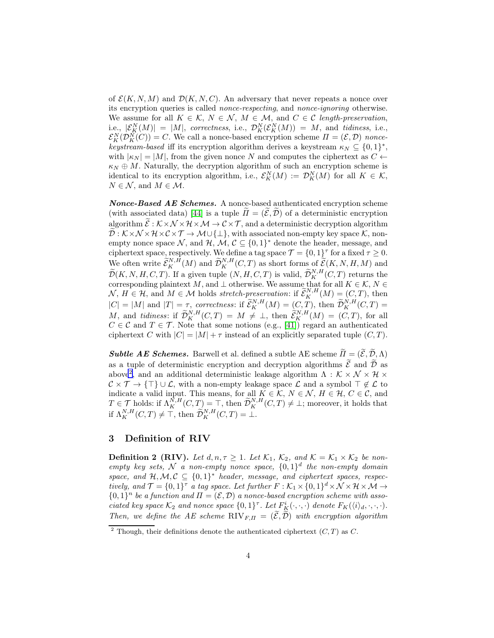of  $\mathcal{E}(K, N, M)$  and  $\mathcal{D}(K, N, C)$ . An adversary that never repeats a nonce over its encryption queries is called nonce-respecting, and nonce-ignoring otherwise. We assume for all  $K \in \mathcal{K}$ ,  $N \in \mathcal{N}$ ,  $M \in \mathcal{M}$ , and  $C \in \mathcal{C}$  length-preservation, i.e.,  $|\mathcal{E}_{\mathcal{K}}^{N}(M)| = |M|$ , correctness, i.e.,  $\mathcal{D}_{\mathcal{K}}^{N}(\mathcal{E}_{\mathcal{K}}^{N}(M)) = M$ , and tidiness, i.e.,  $\mathcal{E}_K^N(\mathcal{D}_K^N(C)) = C$ . We call a nonce-based encryption scheme  $\Pi = (\mathcal{E}, \mathcal{D})$  noncekeystream-based iff its encryption algorithm derives a keystream  $\kappa_N \subseteq \{0,1\}^*$ , with  $|\kappa_N| = |M|$ , from the given nonce N and computes the ciphertext as  $C \leftarrow$  $\kappa_N \oplus M$ . Naturally, the decryption algorithm of such an encryption scheme is identical to its encryption algorithm, i.e.,  $\mathcal{E}_K^N(M) := \mathcal{D}_K^N(M)$  for all  $K \in \mathcal{K}$ ,  $N \in \mathcal{N}$ , and  $M \in \mathcal{M}$ .

Nonce-Based AE Schemes. A nonce-based authenticated encryption scheme (with associated data) [44] is a tuple  $\tilde{\Pi} = (\tilde{\mathcal{E}}, \tilde{\mathcal{D}})$  of a deterministic encryption algorithm  $\mathcal{E}: \mathcal{K} \times \mathcal{N} \times \mathcal{H} \times \mathcal{M} \to \mathcal{C} \times \mathcal{T}$ , and a deterministic decryption algorithm  $\mathcal{D}: \mathcal{K} \times \mathcal{N} \times \mathcal{H} \times \mathcal{C} \times \mathcal{T} \to \mathcal{M} \cup \{\perp\},\$  with associated non-empty key space  $\mathcal{K}$ , nonempty nonce space N, and  $\mathcal{H}, \mathcal{M}, \mathcal{C} \subseteq \{0,1\}^*$  denote the header, message, and ciphertext space, respectively. We define a tag space  $\mathcal{T} = \{0, 1\}^{\tau}$  for a fixed  $\tau \geq 0$ . We often write  $\widetilde{\mathcal{E}}_K^{N,H}(M)$  and  $\widetilde{\mathcal{D}}_K^{N,H}(C,T)$  as short forms of  $\widetilde{\mathcal{E}}(K,N,H,M)$  and  $\widetilde{\mathcal{D}}(K, N, H, C, T)$ . If a given tuple  $(N, H, C, T)$  is valid,  $\widetilde{\mathcal{D}}_K^{N, H}(C, T)$  returns the corresponding plaintext M, and  $\bot$  otherwise. We assume that for all  $K \in \mathcal{K}, N \in$  $\mathcal{N}, H \in \mathcal{H}$ , and  $M \in \mathcal{M}$  holds stretch-preservation: if  $\widetilde{\mathcal{E}}_K^{N,H}(M) = (C, T)$ , then  $|C| = |M|$  and  $|T| = \tau$ , correctness: if  $\widetilde{\mathcal{E}}_K^{N,H}(M) = (C,T)$ , then  $\widetilde{\mathcal{D}}_K^{N,H}(C,T) =$ M, and tidiness: if  $\widetilde{\mathcal{D}}_K^{N,H}(C,T) = M \neq \perp$ , then  $\widetilde{\mathcal{E}}_K^{N,H}(M) = (C,T)$ , for all  $C \in \mathcal{C}$  and  $T \in \mathcal{T}$ . Note that some notions (e.g., [41]) regard an authenticated ciphertext C with  $|C| = |M| + \tau$  instead of an explicitly separated tuple  $(C, T)$ .

**Subtle AE Schemes.** Barwell et al. defined a subtle AE scheme  $\tilde{\Pi} = (\tilde{\mathcal{E}}, \tilde{\mathcal{D}}, \Lambda)$ as a tuple of deterministic encryption and decryption algorithms  $\widetilde{\mathcal{E}}$  and  $\widetilde{\mathcal{D}}$  as above<sup>[2](#page-3-1)</sup>, and an additional deterministic leakage algorithm  $\Lambda$  :  $\mathcal{K} \times \mathcal{N} \times \mathcal{H} \times$  $\mathcal{C} \times \mathcal{T} \to {\{\top\}} \cup \mathcal{L}$ , with a non-empty leakage space  $\mathcal{L}$  and a symbol  $\top \notin \mathcal{L}$  to indicate a valid input. This means, for all  $K \in \mathcal{K}$ ,  $N \in \mathcal{N}$ ,  $H \in \mathcal{H}$ ,  $C \in \mathcal{C}$ , and  $T \in \mathcal{T}$  holds: if  $\Lambda_K^{N,H}(C,T) = \top$ , then  $\widetilde{\mathcal{D}}_K^{N,H}(C,T) \neq \bot$ ; moreover, it holds that if  $\Lambda_K^{N,H}(C,T) \neq \top$ , then  $\widetilde{\mathcal{D}}_K^{N,H}(C,T) = \bot$ .

## <span id="page-3-0"></span>3 Definition of RIV

**Definition 2 (RIV).** Let  $d, n, \tau \geq 1$ . Let  $\mathcal{K}_1$ ,  $\mathcal{K}_2$ , and  $\mathcal{K} = \mathcal{K}_1 \times \mathcal{K}_2$  be nonempty key sets, N a non-empty nonce space,  $\{0,1\}^d$  the non-empty domain space, and  $H, M, C \subseteq \{0,1\}^*$  header, message, and ciphertext spaces, respectively, and  $\mathcal{T} = \{0,1\}^{\tau}$  a tag space. Let further  $F : \mathcal{K}_1 \times \{0,1\}^d \times \mathcal{N} \times \mathcal{H} \times \mathcal{M} \rightarrow$  $\{0,1\}^n$  be a function and  $\Pi = (\mathcal{E}, \mathcal{D})$  a nonce-based encryption scheme with associated key space  $\mathcal{K}_2$  and nonce space  $\{0,1\}^{\tau}$ . Let  $F_K^i(\cdot,\cdot,\cdot)$  denote  $F_K(\langle i \rangle_d, \cdot, \cdot, \cdot)$ . Then, we define the AE scheme RIV $_{F,H} = (\tilde{\mathcal{E}}, \tilde{\mathcal{D}})$  with encryption algorithm

<span id="page-3-1"></span><sup>&</sup>lt;sup>2</sup> Though, their definitions denote the authenticated ciphertext  $(C, T)$  as  $C$ .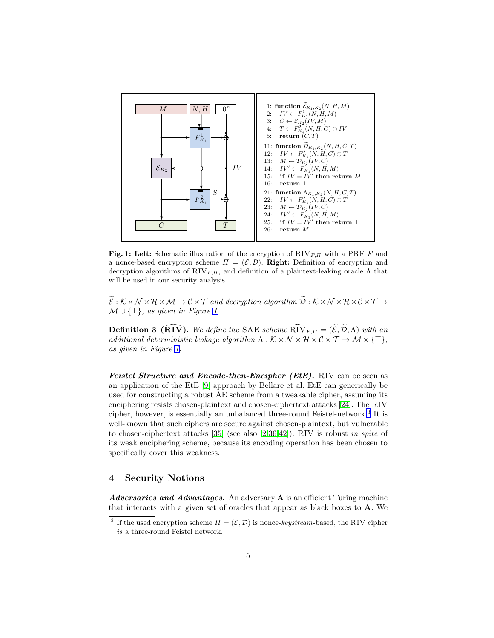<span id="page-4-1"></span>

Fig. 1: Left: Schematic illustration of the encryption of  $RIV_{F,\Pi}$  with a PRF F and a nonce-based encryption scheme  $\Pi = (\mathcal{E}, \mathcal{D})$ . Right: Definition of encryption and decryption algorithms of  $\text{RIV}_{F,\Pi}$ , and definition of a plaintext-leaking oracle  $\Lambda$  that will be used in our security analysis.

 $\widetilde{\mathcal{E}}:\mathcal{K}\times\mathcal{N}\times\mathcal{H}\times\mathcal{M}\to\mathcal{C}\times\mathcal{T}$  and decryption algorithm  $\widetilde{\mathcal{D}}:\mathcal{K}\times\mathcal{N}\times\mathcal{H}\times\mathcal{C}\times\mathcal{T}\to$  $M \cup \{\perp\}$ , as given in Figure [1.](#page-4-1)

**Definition 3 (RIV).** We define the SAE scheme  $\widehat{RIV}_{F,\Pi} = (\widetilde{\mathcal{E}}, \widetilde{\mathcal{D}}, \Lambda)$  with an additional deterministic leakage algorithm  $\Lambda : \mathcal{K} \times \mathcal{N} \times \mathcal{H} \times \mathcal{C} \times \mathcal{T} \to \mathcal{M} \times \{\top\},\$ as given in Figure [1.](#page-4-1)

Feistel Structure and Encode-then-Encipher (EtE). RIV can be seen as an application of the EtE [9] approach by Bellare et al. EtE can generically be used for constructing a robust AE scheme from a tweakable cipher, assuming its enciphering resists chosen-plaintext and chosen-ciphertext attacks [24]. The RIV cipher, however, is essentially an unbalanced three-round Feistel-network.[3](#page-4-2) It is well-known that such ciphers are secure against chosen-plaintext, but vulnerable to chosen-ciphertext attacks [35] (see also [2,36,42]). RIV is robust in spite of its weak enciphering scheme, because its encoding operation has been chosen to specifically cover this weakness.

## <span id="page-4-0"></span>4 Security Notions

Adversaries and Advantages. An adversary A is an efficient Turing machine that interacts with a given set of oracles that appear as black boxes to A. We

<span id="page-4-2"></span><sup>&</sup>lt;sup>3</sup> If the used encryption scheme  $\Pi = (\mathcal{E}, \mathcal{D})$  is nonce-*keystream*-based, the RIV cipher *is* a three-round Feistel network.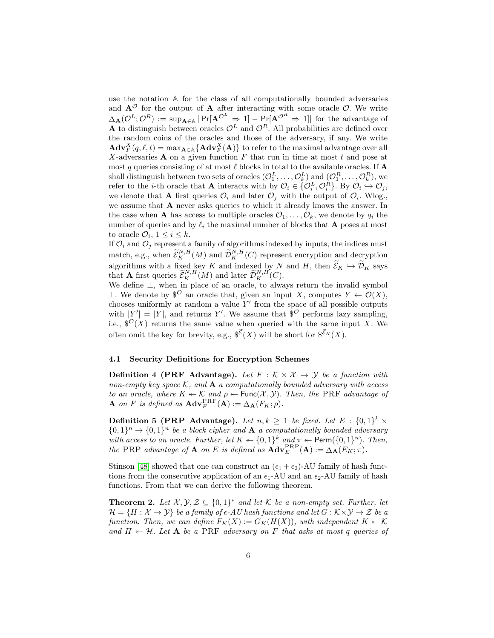use the notation A for the class of all computationally bounded adversaries and  $A^{\mathcal{O}}$  for the output of A after interacting with some oracle  $\mathcal{O}$ . We write  $\Delta_{\mathbf{A}}(\mathcal{O}^{L}; \mathcal{O}^{R}) := \sup_{\mathbf{A} \in \mathbb{A}} |\Pr[\mathbf{A}^{\mathcal{O}^{L}} \Rightarrow 1] - \Pr[\mathbf{A}^{\mathcal{O}^{R}} \Rightarrow 1]|$  for the advantage of A to distinguish between oracles  $\mathcal{O}^L$  and  $\mathcal{O}^R$ . All probabilities are defined over the random coins of the oracles and those of the adversary, if any. We write  $\mathbf{Adv}_{F}^{X}(q, \ell, t) = \max_{\mathbf{A} \in \mathbb{A}} \{ \mathbf{Adv}_{F}^{X}(\mathbf{A}) \}$  to refer to the maximal advantage over all X-adversaries  $A$  on a given function  $F$  that run in time at most  $t$  and pose at most q queries consisting of at most  $\ell$  blocks in total to the available oracles. If  $A$ shall distinguish between two sets of oracles  $(\mathcal{O}_1^L, \ldots, \mathcal{O}_k^L)$  and  $(\mathcal{O}_1^R, \ldots, \mathcal{O}_k^R)$ , we refer to the *i*-th oracle that **A** interacts with by  $\mathcal{O}_i \in \{O_i^L, O_i^R\}$ . By  $O_i \xrightarrow{\sim} O_j$ , we denote that **A** first queries  $\mathcal{O}_i$  and later  $\mathcal{O}_j$  with the output of  $\mathcal{O}_i$ . Wlog., we assume that A never asks queries to which it already knows the answer. In the case when **A** has access to multiple oracles  $\mathcal{O}_1, \ldots, \mathcal{O}_k$ , we denote by  $q_i$  the number of queries and by  $\ell_i$  the maximal number of blocks that **A** poses at most to oracle  $\mathcal{O}_i$ ,  $1 \leq i \leq k$ .

If  $\mathcal{O}_i$  and  $\mathcal{O}_j$  represent a family of algorithms indexed by inputs, the indices must match, e.g., when  $\tilde{\mathcal{E}}_K^{N,H}(M)$  and  $\tilde{\mathcal{D}}_K^{N,H}(C)$  represent encryption and decryption algorithms with a fixed key K and indexed by N and H, then  $\mathcal{E}_K \hookrightarrow \mathcal{D}_K$  says that **A** first queries  $\widetilde{\mathcal{E}}_K^{N,H}(M)$  and later  $\widetilde{\mathcal{D}}_K^{N,H}(C)$ .

We define ⊥, when in place of an oracle, to always return the invalid symbol ⊥. We denote by  $\mathscr{S}^{\mathcal{O}}$  an oracle that, given an input X, computes  $Y \leftarrow \mathcal{O}(X)$ , chooses uniformly at random a value  $Y'$  from the space of all possible outputs with  $|Y'| = |Y|$ , and returns Y'. We assume that  $\mathcal{S}^{\mathcal{O}}$  performs lazy sampling, i.e.,  $\mathcal{S}^{\mathcal{O}}(X)$  returns the same value when queried with the same input X. We often omit the key for brevity, e.g.,  $\mathcal{S}^{\tilde{\mathcal{E}}}(X)$  will be short for  $\mathcal{S}^{\tilde{\mathcal{E}}_K}(X)$ .

#### 4.1 Security Definitions for Encryption Schemes

**Definition 4 (PRF Advantage).** Let  $F : K \times X \rightarrow Y$  be a function with non-empty key space  $K$ , and  $A$  a computationally bounded adversary with access to an oracle, where  $K \leftarrow \mathcal{K}$  and  $\rho \leftarrow \text{Func}(\mathcal{X}, \mathcal{Y})$ . Then, the PRF advantage of **A** on F is defined as  $\mathbf{Adv}_{F}^{\mathrm{PRF}}(\mathbf{A}) := \Delta_{\mathbf{A}}(F_K; \rho).$ 

**Definition 5 (PRP Advantage).** Let  $n, k \geq 1$  be fixed. Let  $E : \{0,1\}^k \times$  $\{0,1\}^n \rightarrow \{0,1\}^n$  be a block cipher and **A** a computationally bounded adversary with access to an oracle. Further, let  $K \leftarrow \{0,1\}^k$  and  $\pi \leftarrow \text{Perm}(\{0,1\}^n)$ . Then, the PRP advantage of **A** on E is defined as  $\mathbf{Adv}_{E}^{\text{PRP}}(\mathbf{A}) := \Delta_{\mathbf{A}}(E_K; \pi)$ .

Stinson [48] showed that one can construct an  $(\epsilon_1 + \epsilon_2)$ -AU family of hash functions from the consecutive application of an  $\epsilon_1$ -AU and an  $\epsilon_2$ -AU family of hash functions. From that we can derive the following theorem.

<span id="page-5-0"></span>**Theorem 2.** Let  $\mathcal{X}, \mathcal{Y}, \mathcal{Z} \subseteq \{0, 1\}^*$  and let  $\mathcal{K}$  be a non-empty set. Further, let  $\mathcal{H} = \{H : \mathcal{X} \to \mathcal{Y}\}\$ be a family of  $\epsilon$ -AU hash functions and let  $G : \mathcal{K} \times \mathcal{Y} \to \mathcal{Z}$  be a function. Then, we can define  $F_K(X) := G_K(H(X))$ , with independent  $K \leftarrow \mathcal{K}$ and  $H \leftarrow H$ . Let **A** be a PRF adversary on F that asks at most q queries of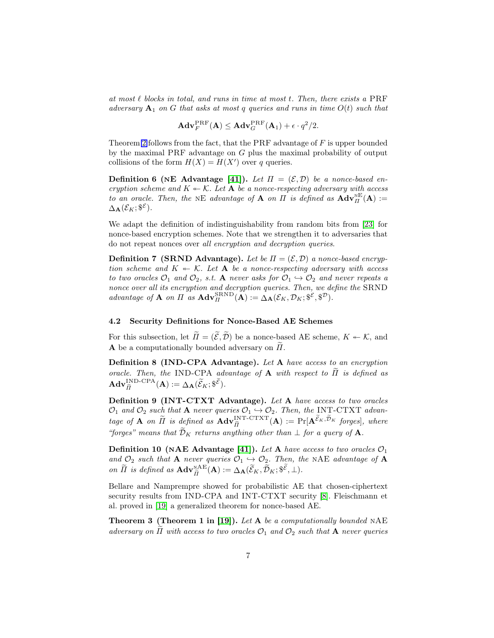at most  $\ell$  blocks in total, and runs in time at most t. Then, there exists a PRF adversary  $A_1$  on G that asks at most q queries and runs in time  $O(t)$  such that

$$
\mathbf{Adv}_{F}^{\mathrm{PRF}}(\mathbf{A}) \leq \mathbf{Adv}_{G}^{\mathrm{PRF}}(\mathbf{A}_{1}) + \epsilon \cdot q^{2}/2.
$$

Theorem [2](#page-5-0) follows from the fact, that the PRF advantage of  $F$  is upper bounded by the maximal PRF advantage on G plus the maximal probability of output collisions of the form  $H(X) = H(X')$  over q queries.

**Definition 6 (NE Advantage [41]).** Let  $\Pi = (\mathcal{E}, \mathcal{D})$  be a nonce-based encryption scheme and  $K \leftarrow \mathcal{K}$ . Let **A** be a nonce-respecting adversary with access to an oracle. Then, the NE advantage of **A** on  $\Pi$  is defined as  $\mathbf{Adv}_{\Pi}^{\text{NE}}(\mathbf{A}) :=$  $\Delta_{\mathbf{A}}(\mathcal{E}_K; \mathbb{S}^\mathcal{E}).$ 

We adapt the definition of indistinguishability from random bits from [23] for nonce-based encryption schemes. Note that we strengthen it to adversaries that do not repeat nonces over all encryption and decryption queries.

**Definition 7 (SRND Advantage).** Let be  $\Pi = (\mathcal{E}, \mathcal{D})$  a nonce-based encryption scheme and  $K \leftarrow \mathcal{K}$ . Let **A** be a nonce-respecting adversary with access to two oracles  $\mathcal{O}_1$  and  $\mathcal{O}_2$ , s.t. A never asks for  $\mathcal{O}_1 \hookrightarrow \mathcal{O}_2$  and never repeats a nonce over all its encryption and decryption queries. Then, we define the SRND advantage of **A** on  $\Pi$  as  $\mathbf{Adv}_{\Pi}^{\text{SRND}}(\mathbf{A}) := \Delta_{\mathbf{A}}(\mathcal{E}_K, \mathcal{D}_K; \S^{\mathcal{E}}, \S^{\mathcal{D}}).$ 

#### 4.2 Security Definitions for Nonce-Based AE Schemes

For this subsection, let  $\widetilde{\Pi} = (\widetilde{\mathcal{E}}, \widetilde{\mathcal{D}})$  be a nonce-based AE scheme,  $K \leftarrow \mathcal{K}$ , and A be a computationally bounded adversary on  $\Pi$ .

Definition 8 (IND-CPA Advantage). Let A have access to an encryption oracle. Then, the IND-CPA advantage of A with respect to  $II$  is defined as  $\mathbf{Adv}_{\widetilde{H}}^{\text{IND-CPA}}(\mathbf{A}) := \Delta_{\mathbf{A}}(\widetilde{\mathcal{E}}_K; \mathcal{E}^{\widetilde{\mathcal{E}}}).$ 

Definition 9 (INT-CTXT Advantage). Let A have access to two oracles  $\mathcal{O}_1$  and  $\mathcal{O}_2$  such that **A** never queries  $\mathcal{O}_1 \hookrightarrow \mathcal{O}_2$ . Then, the INT-CTXT advantage of **A** on  $\widetilde{H}$  is defined as  $\mathbf{Adv}_{\widetilde{H}}^{\text{INT-CTXT}}(\mathbf{A}) := \Pr[\mathbf{A}^{\widetilde{\mathcal{E}}_K, \widetilde{\mathcal{D}}_K} \text{ forges}],$  where "forges" means that  $\widetilde{\mathcal{D}}_K$  returns anything other than  $\perp$  for a query of  $\mathbf{A}$ .

**Definition 10 (NAE Advantage [41]).** Let A have access to two oracles  $\mathcal{O}_1$ and  $\mathcal{O}_2$  such that A never queries  $\mathcal{O}_1 \rightarrow \mathcal{O}_2$ . Then, the NAE advantage of A on  $\widetilde{H}$  is defined as  $\mathbf{Adv}_{\widetilde{H}}^{\text{NAE}}(\mathbf{A}) := \Delta_{\mathbf{A}}(\widetilde{\mathcal{E}}_K, \widetilde{\mathcal{D}}_K; \mathcal{F}, \bot).$ 

Bellare and Namprempre showed for probabilistic AE that chosen-ciphertext security results from IND-CPA and INT-CTXT security [8]. Fleischmann et al. proved in [19] a generalized theorem for nonce-based AE.

<span id="page-6-0"></span>**Theorem 3 (Theorem 1 in [19]).** Let  $A$  be a computationally bounded NAE adversary on  $\Pi$  with access to two oracles  $\mathcal{O}_1$  and  $\mathcal{O}_2$  such that **A** never queries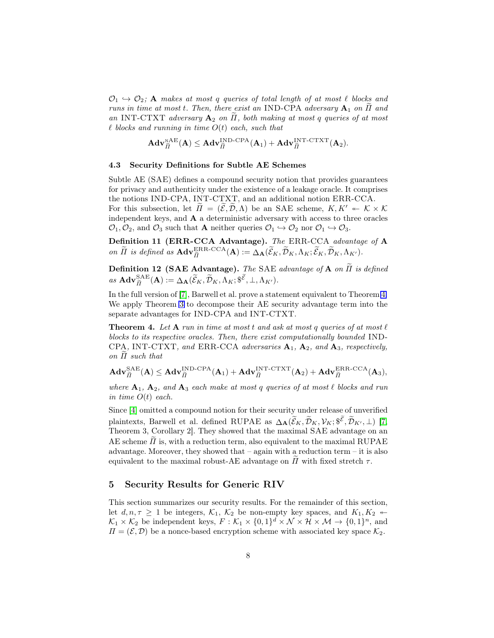$\mathcal{O}_1 \hookrightarrow \mathcal{O}_2$ ; A makes at most q queries of total length of at most  $\ell$  blocks and runs in time at most t. Then, there exist an IND-CPA adversary  $A_1$  on  $\Pi$  and an INT-CTXT adversary  $A_2$  on  $\overline{H}$ , both making at most q queries of at most  $\ell$  blocks and running in time  $O(t)$  each, such that

$$
\mathbf{Adv}_{\widetilde{H}}^{\mathrm{NAE}}(\mathbf{A}) \leq \mathbf{Adv}_{\widetilde{H}}^{\mathrm{IND}\text{-}\mathrm{CPA}}(\mathbf{A}_1) + \mathbf{Adv}_{\widetilde{H}}^{\mathrm{INT}\text{-}\mathrm{CTXT}}(\mathbf{A}_2).
$$

#### 4.3 Security Definitions for Subtle AE Schemes

Subtle AE (SAE) defines a compound security notion that provides guarantees for privacy and authenticity under the existence of a leakage oracle. It comprises the notions IND-CPA, INT-CTXT, and an additional notion ERR-CCA. For this subsection, let  $\tilde{\Pi} = (\tilde{\mathcal{E}}, \tilde{\mathcal{D}}, \Lambda)$  be an SAE scheme,  $K, K' \twoheadleftarrow K \times K$ independent keys, and A a deterministic adversary with access to three oracles  $\mathcal{O}_1, \mathcal{O}_2$ , and  $\mathcal{O}_3$  such that **A** neither queries  $\mathcal{O}_1 \hookrightarrow \mathcal{O}_2$  nor  $\mathcal{O}_1 \hookrightarrow \mathcal{O}_3$ .

Definition 11 (ERR-CCA Advantage). The ERR-CCA advantage of A on  $\widetilde{H}$  is defined as  $\mathbf{Adv}_{\widetilde{H}}^{\text{ERR-CCA}}(\mathbf{A}) := \widetilde{\Delta}_{\mathbf{A}}(\widetilde{\mathcal{E}}_K, \widetilde{\mathcal{D}}_K, \Lambda_K; \widetilde{\mathcal{E}}_K, \widetilde{\mathcal{D}}_K, \Lambda_{K'}).$ 

**Definition 12 (SAE Advantage).** The SAE advantage of **A** on  $\widetilde{\Pi}$  is defined  $as \; \mathbf{Adv}_{\widetilde{H}}^{\mathrm{SAE}}(\mathbf{A}) := \Delta_{\mathbf{A}}(\widetilde{\mathcal{E}}_K, \widetilde{\mathcal{D}}_K, \widetilde{\Lambda}_K; \mathscr{F}, \bot, \Lambda_{K'}).$ 

In the full version of [\[7\]](#page-16-1), Barwell et al. prove a statement equivalent to Theorem [4.](#page-7-1) We apply Theorem [3](#page-6-0) to decompose their AE security advantage term into the separate advantages for IND-CPA and INT-CTXT.

<span id="page-7-1"></span>**Theorem 4.** Let  $A$  run in time at most t and ask at most q queries of at most  $\ell$ blocks to its respective oracles. Then, there exist computationally bounded IND-CPA, INT-CTXT, and ERR-CCA adversaries  $A_1$ ,  $A_2$ , and  $A_3$ , respectively, on  $\Pi$  such that

$$
\mathbf{Adv}_{\widetilde{H}}^{\mathrm{SAE}}(\mathbf{A}) \leq \mathbf{Adv}_{\widetilde{H}}^{\mathrm{IND}\text{-}\mathrm{CPA}}(\mathbf{A}_1) + \mathbf{Adv}_{\widetilde{H}}^{\mathrm{INT}\text{-}\mathrm{CTXT}}(\mathbf{A}_2) + \mathbf{Adv}_{\widetilde{H}}^{\mathrm{ERR\text{-}\mathrm{CCA}}}(\mathbf{A}_3),
$$

where  $A_1$ ,  $A_2$ , and  $A_3$  each make at most q queries of at most  $\ell$  blocks and run in time  $O(t)$  each.

Since [4] omitted a compound notion for their security under release of unverified plaintexts, Barwell et al. defined RUPAE as  $\Delta_{\mathbf{A}}(\widetilde{\mathcal{E}}_K, \widetilde{\mathcal{D}}_K, \mathcal{V}_K; \mathcal{F}, \widetilde{\mathcal{D}}_{K'}, \bot)$  [\[7,](#page-16-1) Theorem 3, Corollary 2]. They showed that the maximal SAE advantage on an AE scheme  $\Pi$  is, with a reduction term, also equivalent to the maximal RUPAE advantage. Moreover, they showed that – again with a reduction term – it is also equivalent to the maximal robust-AE advantage on  $\Pi$  with fixed stretch  $\tau$ .

### <span id="page-7-0"></span>5 Security Results for Generic RIV

<span id="page-7-2"></span>This section summarizes our security results. For the remainder of this section, let  $d, n, \tau \geq 1$  be integers,  $\mathcal{K}_1$ ,  $\mathcal{K}_2$  be non-empty key spaces, and  $K_1, K_2$   $\leftarrow$  $\mathcal{K}_1 \times \mathcal{K}_2$  be independent keys,  $F: \mathcal{K}_1 \times \{0,1\}^d \times \mathcal{N} \times \mathcal{H} \times \mathcal{M} \rightarrow \{0,1\}^n$ , and  $\Pi = (\mathcal{E}, \mathcal{D})$  be a nonce-based encryption scheme with associated key space  $\mathcal{K}_2$ .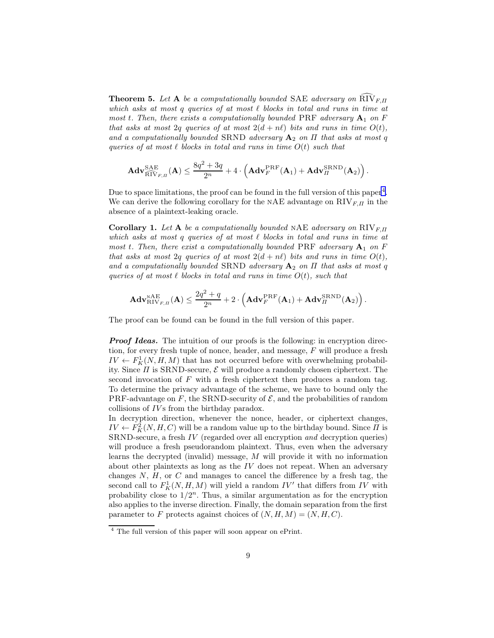**Theorem 5.** Let A be a computationally bounded SAE adversary on  $\widehat{RIV}_{F,\Pi}$ which asks at most q queries of at most  $\ell$  blocks in total and runs in time at most t. Then, there exists a computationally bounded PRF adversary  $A_1$  on F that asks at most 2q queries of at most  $2(d + n\ell)$  bits and runs in time  $O(t)$ , and a computationally bounded SRND adversary  $A_2$  on  $\Pi$  that asks at most q queries of at most  $\ell$  blocks in total and runs in time  $O(t)$  such that

$$
\mathbf{Adv}_{\widehat{\mathrm{RIV}}_{F,\Pi}}^{\mathrm{SAE}}(\mathbf{A}) \leq \frac{8q^2 + 3q}{2^n} + 4 \cdot \left(\mathbf{Adv}_{F}^{\mathrm{PRF}}(\mathbf{A}_1) + \mathbf{Adv}_{\Pi}^{\mathrm{SRND}}(\mathbf{A}_2)\right).
$$

Due to space limitations, the proof can be found in the full version of this paper<sup>[4](#page-8-0)</sup>. We can derive the following corollary for the NAE advantage on  $RIV_{F,\Pi}$  in the absence of a plaintext-leaking oracle.

Corollary 1. Let A be a computationally bounded NAE adversary on  $\text{RIV}_{F,\Pi}$ which asks at most q queries of at most  $\ell$  blocks in total and runs in time at most t. Then, there exist a computationally bounded PRF adversary  $A_1$  on F that asks at most 2q queries of at most  $2(d + n\ell)$  bits and runs in time  $O(t)$ , and a computationally bounded SRND adversary  $A_2$  on  $\Pi$  that asks at most q queries of at most  $\ell$  blocks in total and runs in time  $O(t)$ , such that

$$
\mathbf{Adv}_{\mathrm{RIV}_{F,\varPi}}^{\mathrm{NAE}}(\mathbf{A}) \leq \frac{2q^2+q}{2^n} + 2 \cdot \left(\mathbf{Adv}_{F}^{\mathrm{PRF}}(\mathbf{A}_1) + \mathbf{Adv}_{\varPi}^{\mathrm{SRND}}(\mathbf{A}_2)\right).
$$

The proof can be found can be found in the full version of this paper.

**Proof Ideas.** The intuition of our proofs is the following: in encryption direction, for every fresh tuple of nonce, header, and message, F will produce a fresh  $IV \leftarrow F_K^1(N, H, M)$  that has not occurred before with overwhelming probability. Since  $\Pi$  is SRND-secure,  $\mathcal E$  will produce a randomly chosen ciphertext. The second invocation of  $F$  with a fresh ciphertext then produces a random tag. To determine the privacy advantage of the scheme, we have to bound only the PRF-advantage on F, the SRND-security of  $\mathcal{E}$ , and the probabilities of random collisions of IVs from the birthday paradox.

In decryption direction, whenever the nonce, header, or ciphertext changes,  $IV \leftarrow F_K^2(N, H, C)$  will be a random value up to the birthday bound. Since  $\Pi$  is SRND-secure, a fresh IV (regarded over all encryption and decryption queries) will produce a fresh pseudorandom plaintext. Thus, even when the adversary learns the decrypted (invalid) message, M will provide it with no information about other plaintexts as long as the  $IV$  does not repeat. When an adversary changes  $N, H$ , or  $C$  and manages to cancel the difference by a fresh tag, the second call to  $F^1_K(N, H, M)$  will yield a random  $IV'$  that differs from  $IV$  with probability close to  $1/2^n$ . Thus, a similar argumentation as for the encryption also applies to the inverse direction. Finally, the domain separation from the first parameter to F protects against choices of  $(N, H, M) = (N, H, C)$ .

<span id="page-8-0"></span><sup>4</sup> The full version of this paper will soon appear on ePrint.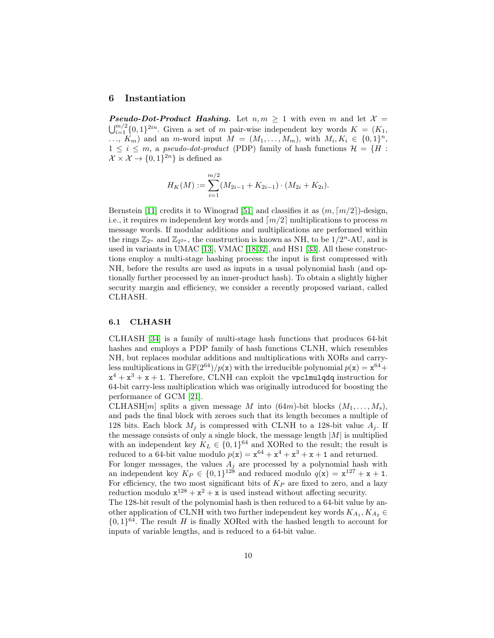#### <span id="page-9-0"></span>6 Instantiation

**Pseudo-Dot-Product Hashing.** Let  $n, m \ge 1$  with even m and let  $\mathcal{X} =$  $\bigcup_{i=1}^{m/2} \{0,1\}^{2in}$ . Given a set of m pair-wise independent key words  $K = (K_1,$  $\ldots, K_m$  and an m-word input  $M = (M_1, \ldots, M_m)$ , with  $M_i, K_i \in \{0,1\}^n$ ,  $1 \leq i \leq m$ , a *pseudo-dot-product* (PDP) family of hash functions  $\mathcal{H} = \{H :$  $\mathcal{X} \times \mathcal{X} \to \{0,1\}^{2n}$  is defined as

$$
H_K(M) := \sum_{i=1}^{m/2} (M_{2i-1} + K_{2i-1}) \cdot (M_{2i} + K_{2i}).
$$

Bernstein [\[11\]](#page-17-3) credits it to Winograd [\[51\]](#page-19-0) and classifies it as  $(m, \lceil m/2 \rceil)$ -design, i.e., it requires m independent key words and  $\lfloor m/2 \rfloor$  multiplications to process m message words. If modular additions and multiplications are performed within the rings  $\mathbb{Z}_{2^n}$  and  $\mathbb{Z}_{2^{2n}}$ , the construction is known as NH, to be  $1/2^n$ -AU, and is used in variants in UMAC [13], VMAC [18,32], and HS1 [\[33\]](#page-18-2). All these constructions employ a multi-stage hashing process: the input is first compressed with NH, before the results are used as inputs in a usual polynomial hash (and optionally further processed by an inner-product hash). To obtain a slightly higher security margin and efficiency, we consider a recently proposed variant, called CLHASH.

#### 6.1 CLHASH

CLHASH [\[34\]](#page-18-5) is a family of multi-stage hash functions that produces 64-bit hashes and employs a PDP family of hash functions CLNH, which resembles NH, but replaces modular additions and multiplications with XORs and carryless multiplications in  $\mathbb{GF}(2^{64})/p(x)$  with the irreducible polynomial  $p(x) = x^{64} +$  $x^4 + x^3 + x + 1$ . Therefore, CLNH can exploit the vpclmulqdq instruction for 64-bit carry-less multiplication which was originally introduced for boosting the performance of GCM [21].

CLHASH[m] splits a given message M into  $(64m)$ -bit blocks  $(M_1, \ldots, M_s)$ , and pads the final block with zeroes such that its length becomes a multiple of 128 bits. Each block  $M_i$  is compressed with CLNH to a 128-bit value  $A_i$ . If the message consists of only a single block, the message length  $|M|$  is multiplied with an independent key  $K_L \in \{0,1\}^{64}$  and XORed to the result; the result is reduced to a 64-bit value modulo  $p(x) = x^{64} + x^4 + x^3 + x + 1$  and returned.

For longer messages, the values  $A_j$  are processed by a polynomial hash with an independent key  $K_P \in \{0,1\}^{128}$  and reduced modulo  $q(\mathbf{x}) = \mathbf{x}^{127} + \mathbf{x} + \mathbf{1}$ . For efficiency, the two most significant bits of  $K_P$  are fixed to zero, and a lazy reduction modulo  $x^{128} + x^2 + x$  is used instead without affecting security.

The 128-bit result of the polynomial hash is then reduced to a 64-bit value by another application of CLNH with two further independent key words  $K_{A_1}, K_{A_2} \in$  ${0,1}^{64}$ . The result H is finally XORed with the hashed length to account for inputs of variable lengths, and is reduced to a 64-bit value.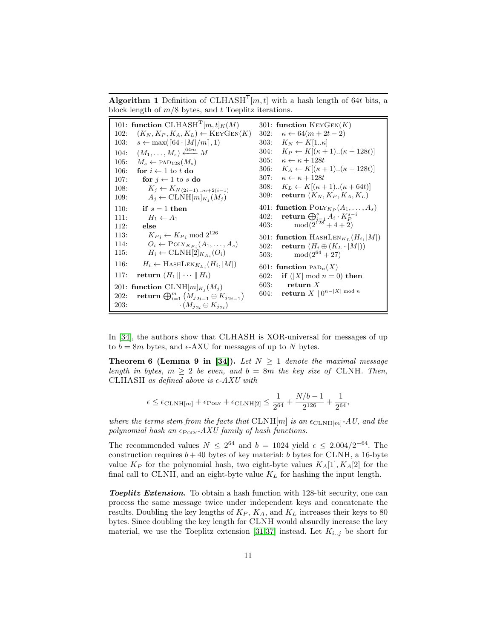<span id="page-10-0"></span>**Algorithm 1** Definition of CLHASH<sup>T</sup>[ $m, t$ ] with a hash length of 64t bits, a block length of  $m/8$  bytes, and t Toeplitz iterations.

| 101: function CLHASH <sup>T</sup> [m, t] <sub>K</sub> (M)              | 301: function $KeyGen(K)$                                   |  |  |  |  |
|------------------------------------------------------------------------|-------------------------------------------------------------|--|--|--|--|
| $(K_N, K_P, K_A, K_L) \leftarrow \text{KeyGen}(K)$                     | $\kappa \leftarrow 64(m+2t-2)$                              |  |  |  |  |
| 102:                                                                   | 302:                                                        |  |  |  |  |
| $s \leftarrow \max([64 \cdot  M /m], 1)$                               | $K_N \leftarrow K[1\kappa]$                                 |  |  |  |  |
| 103:                                                                   | 303:                                                        |  |  |  |  |
| $(M_1, \ldots, M_s) \xleftarrow{64m} M$                                | $K_P \leftarrow K[(\kappa+1) \dots (\kappa+128t)]$          |  |  |  |  |
| 104:                                                                   | 304:                                                        |  |  |  |  |
| $M_s \leftarrow \text{PAD}_{128}(M_s)$                                 | 305:                                                        |  |  |  |  |
| 105:                                                                   | $\kappa \leftarrow \kappa + 128t$                           |  |  |  |  |
| 106:                                                                   | $K_A \leftarrow K[(\kappa+1)(\kappa+128t)]$                 |  |  |  |  |
| for $i \leftarrow 1$ to t do                                           | 306:                                                        |  |  |  |  |
| 107:                                                                   | 307:                                                        |  |  |  |  |
| for $j \leftarrow 1$ to s do                                           | $\kappa \leftarrow \kappa + 128t$                           |  |  |  |  |
| 108:                                                                   | $K_L \leftarrow K[(\kappa+1) \dots (\kappa+64t)]$           |  |  |  |  |
| $K_j \leftarrow K_{N(2i-1)m+2(i-1)}$                                   | 308:                                                        |  |  |  |  |
| $A_j \leftarrow \text{CLNH}[m]_{K_j}(M_j)$                             | return $(K_N, K_P, K_A, K_L)$                               |  |  |  |  |
| 109:                                                                   | 309:                                                        |  |  |  |  |
| 110:<br>if $s=1$ then                                                  | 401: function $\text{PoLY}_{K_P}(A_1,\ldots,A_s)$           |  |  |  |  |
| 111:                                                                   | return $\bigoplus_{i=1}^s A_i \cdot K_P^{s-i}$              |  |  |  |  |
| $H_1 \leftarrow A_1$                                                   | 402:                                                        |  |  |  |  |
| 112:                                                                   | $mod(2^{128}+4+2)$                                          |  |  |  |  |
| else                                                                   | 403:                                                        |  |  |  |  |
| $K_{P_i} \leftarrow K_{P_i} \mod 2^{126}$<br>113:                      | 501: function HASHLEN <sub>K<sub>L</sub></sub> $(H_i,  M )$ |  |  |  |  |
| $O_i \leftarrow \text{POLY}_{K_{P_i}}(A_1, \ldots, A_s)$               | return $(H_i \oplus (K_L \cdot  M ))$                       |  |  |  |  |
| 114:                                                                   | 502:                                                        |  |  |  |  |
| $H_i \leftarrow \text{CLNH}[2]_{K_{Ai}}(O_i)$                          | $mod(2^{64}+27)$                                            |  |  |  |  |
| 115:                                                                   | 503:                                                        |  |  |  |  |
| $H_i \leftarrow$ HASHLEN $_{K_{Li}}(H_i,  M )$<br>116:                 | 601: function $PAD_n(X)$                                    |  |  |  |  |
| return $(H_1 \parallel \cdots \parallel H_t)$                          | if $( X  \mod n = 0)$ then                                  |  |  |  |  |
| 117:                                                                   | 602:                                                        |  |  |  |  |
| 201: function $CLNH[m]_{K_i}(M_j)$                                     | return $X$<br>603:                                          |  |  |  |  |
| <b>return</b> $\bigoplus_{i=1}^{m} (M_{j_{2i-1}} \oplus K_{j_{2i-1}})$ | return $X \parallel 0^{n -  X  \bmod n}$                    |  |  |  |  |
| 202:                                                                   | 604:                                                        |  |  |  |  |
| 203:<br>$\cdot$ $(M_{i_2i} \oplus K_{i_2i})$                           |                                                             |  |  |  |  |

In [\[34\]](#page-18-5), the authors show that CLHASH is XOR-universal for messages of up to  $b = 8m$  bytes, and  $\epsilon$ -AXU for messages of up to N bytes.

**Theorem 6 (Lemma 9 in [\[34\]](#page-18-5)).** Let  $N \geq 1$  denote the maximal message length in bytes,  $m \geq 2$  be even, and  $b = 8m$  the key size of CLNH. Then, CLHASH as defined above is  $\epsilon$ -AXU with

$$
\epsilon \leq \epsilon_{\text{CLNH}[m]} + \epsilon_{\text{POLY}} + \epsilon_{\text{CLNH}[2]} \leq \frac{1}{2^{64}} + \frac{N/b - 1}{2^{126}} + \frac{1}{2^{64}},
$$

where the terms stem from the facts that  $CLNH[m]$  is an  $\epsilon_{CLNH[m]}$ -AU, and the polynomial hash an  $\epsilon_{\text{POLY}}$ -AXU family of hash functions.

The recommended values  $N \leq 2^{64}$  and  $b = 1024$  yield  $\epsilon \leq 2.004/2^{-64}$ . The construction requires  $b + 40$  bytes of key material: b bytes for CLNH, a 16-byte value  $K_P$  for the polynomial hash, two eight-byte values  $K_A[1], K_A[2]$  for the final call to CLNH, and an eight-byte value  $K_L$  for hashing the input length.

**Toeplitz Extension.** To obtain a hash function with 128-bit security, one can process the same message twice under independent keys and concatenate the results. Doubling the key lengths of  $K_P$ ,  $K_A$ , and  $K_L$  increases their keys to 80 bytes. Since doubling the key length for CLNH would absurdly increase the key material, we use the Toeplitz extension [31,37] instead. Let  $K_{i,j}$  be short for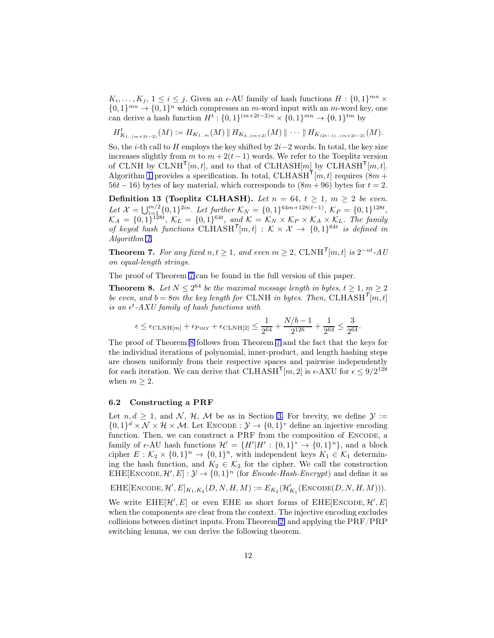$K_i, \ldots, K_j, 1 \leq i \leq j$ . Given an  $\epsilon$ -AU family of hash functions  $H: \{0,1\}^{mn} \times$  $\{0,1\}^{mn} \rightarrow \{0,1\}^n$  which compresses an m-word input with an m-word key, one can derive a hash function  $H^t: \{0,1\}^{(m+2t-2)n} \times \{0,1\}^{mn} \to \{0,1\}^{tm}$  by

 $H^t_{K_{1..(m+2t-2)}}(M) := H_{K_{1..m}}(M) \, \| \, H_{K_{3..(m+2)}}(M) \, \| \, \cdots \, \| \, H_{K_{(2t-1)..(m+2t-2)}}(M).$ 

So, the *i*-th call to H employs the key shifted by  $2i-2$  words. In total, the key size increases slightly from m to  $m + 2(t - 1)$  words. We refer to the Toeplitz version of CLNH by CLNH<sup>T</sup>[m, t], and to that of CLHASH[m] by CLHASH<sup>T</sup>[m, t]. Algorithm [1](#page-10-0) provides a specification. In total, CLHASH<sup>T</sup>[ $m, t$ ] requires ( $8m +$  $56t - 16$ ) bytes of key material, which corresponds to  $(8m + 96)$  bytes for  $t = 2$ .

Definition 13 (Toeplitz CLHASH). Let  $n = 64$ ,  $t \ge 1$ ,  $m \ge 2$  be even. Let  $\mathcal{X} = \bigcup_{i=1}^{m/2} \{0,1\}^{2in}$ . Let further  $\mathcal{K}_N = \{0,1\}^{64m+128(t-1)}$ ,  $\mathcal{K}_P = \{0,1\}^{128t}$ ,  $\mathcal{K}_A = \{0,1\}^{128t}, \ \mathcal{K}_L = \{0,1\}^{64t}, \ and \ \mathcal{K} = \mathcal{K}_N \times \mathcal{K}_P \times \mathcal{K}_A \times \mathcal{K}_L$ . The family of keyed hash functions  $CLHASH^{T}[m,t] : K \times X \rightarrow \{0,1\}^{64t}$  is defined in Algorithm [1.](#page-10-0)

<span id="page-11-0"></span>**Theorem 7.** For any fixed  $n, t \geq 1$ , and even  $m \geq 2$ ,  $\text{CLNH}^{\mathsf{T}}[m, t]$  is  $2^{-nt}$ -AU on equal-length strings.

The proof of Theorem [7](#page-11-0) can be found in the full version of this paper.

**Theorem 8.** Let  $N \leq 2^{64}$  be the maximal message length in bytes,  $t \geq 1, m \geq 2$ be even, and  $b = 8m$  the key length for CLNH in bytes. Then, CLHASH<sup>T</sup>[m, t] is an  $\epsilon^t$ -AXU family of hash functions with

<span id="page-11-1"></span>
$$
\epsilon \leq \epsilon_{\text{CLNH}[m]}+\epsilon_{\text{Poly}}+\epsilon_{\text{CLNH}[2]} \leq \frac{1}{2^{64}}+\frac{N/b-1}{2^{126}}+\frac{1}{2^{64}} \leq \frac{3}{2^{64}}.
$$

The proof of Theorem [8](#page-11-1) follows from Theorem [7](#page-11-0) and the fact that the keys for the individual iterations of polynomial, inner-product, and length hashing steps are chosen uniformly from their respective spaces and pairwise independently for each iteration. We can derive that CLHASH<sup>T</sup>[m, 2] is  $\epsilon$ -AXU for  $\epsilon \leq 9/2^{128}$ when  $m \geq 2$ .

### 6.2 Constructing a PRF

Let  $n, d \geq 1$ , and N, H, M be as in Section [3.](#page-3-0) For brevity, we define  $\mathcal{Y} :=$  $\{0,1\}^d \times \mathcal{N} \times \mathcal{H} \times \mathcal{M}$ . Let ENCODE :  $\mathcal{Y} \to \{0,1\}^*$  define an injective encoding function. Then, we can construct a PRF from the composition of ENCODE, a family of  $\epsilon$ -AU hash functions  $\mathcal{H}' = \{H'|H': \{0,1\}^* \to \{0,1\}^n\}$ , and a block cipher  $E: \mathcal{K}_2 \times \{0,1\}^n \to \{0,1\}^n$ , with independent keys  $K_1 \in \mathcal{K}_1$  determining the hash function, and  $K_2 \in \mathcal{K}_2$  for the cipher. We call the construction EHE[ENCODE,  $\mathcal{H}', E] : \mathcal{Y} \to \{0, 1\}^n$  (for *Encode-Hash-Encrypt*) and define it as

 $\text{EHE}[\text{ENCODE}, \mathcal{H}', E]_{K_1, K_2}(D, N, H, M) := E_{K_2}(\mathcal{H}'_{K_1}(\text{ENCODE}(D, N, H, M))).$ 

<span id="page-11-2"></span>We write  $EHE[\mathcal{H}',E]$  or even EHE as short forms of  $EHE[$ ENCODE,  $\mathcal{H}',E]$ when the components are clear from the context. The injective encoding excludes collisions between distinct inputs. From Theorem [2,](#page-5-0) and applying the PRF/PRP switching lemma, we can derive the following theorem.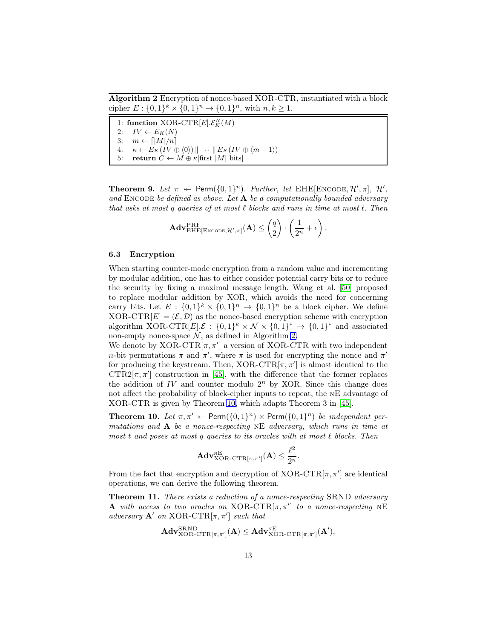<span id="page-12-0"></span>Algorithm 2 Encryption of nonce-based XOR-CTR, instantiated with a block cipher  $E: \{0,1\}^k \times \{0,1\}^n \to \{0,1\}^n$ , with  $n, k \ge 1$ .

1: function  $\text{XOR-CTR}[E]. \mathcal{E}_K^N(M)$ 2:  $IV \leftarrow E_K(N)$ 3:  $m \leftarrow \lceil |M|/n \rceil$ 4:  $\kappa \leftarrow E_K(IV \oplus \langle 0 \rangle) \|\cdots \| E_K(IV \oplus \langle m-1 \rangle)$ 5: return  $C \leftarrow M \oplus \kappa$  first  $|M|$  bits

**Theorem 9.** Let  $\pi \leftarrow \text{Perm}(\{0,1\}^n)$ . Further, let EHE[ENCODE,  $\mathcal{H}', \pi$ ],  $\mathcal{H}',$ and ENCODE be defined as above. Let  $A$  be a computationally bounded adversary that asks at most q queries of at most  $\ell$  blocks and runs in time at most t. Then

$$
\mathbf{Adv}_{\mathrm{EHE}[\mathrm{Encoder},\mathcal{H}',\pi]}^{\mathrm{PRF}}(\mathbf{A}) \leq {q \choose 2} \cdot \left(\frac{1}{2^n} + \epsilon\right).
$$

#### 6.3 Encryption

When starting counter-mode encryption from a random value and incrementing by modular addition, one has to either consider potential carry bits or to reduce the security by fixing a maximal message length. Wang et al. [50] proposed to replace modular addition by XOR, which avoids the need for concerning carry bits. Let  $E: \{0,1\}^k \times \{0,1\}^n \rightarrow \{0,1\}^n$  be a block cipher. We define  $XOR-CTR[E] = (\mathcal{E}, \mathcal{D})$  as the nonce-based encryption scheme with encryption algorithm  $XOR-CTR[E] \mathcal{L} : \{0,1\}^k \times \mathcal{N} \times \{0,1\}^* \rightarrow \{0,1\}^*$  and associated non-empty nonce-space  $\mathcal N$ , as defined in Algorithm [2.](#page-12-0)

We denote by  $XOR-CTR[\pi, \pi']$  a version of  $XOR-CTR$  with two independent *n*-bit permutations  $\pi$  and  $\pi'$ , where  $\pi$  is used for encrypting the nonce and  $\pi'$ for producing the keystream. Then,  $XOR-CTR[\pi, \pi']$  is almost identical to the CTR2 $[\pi, \pi']$  construction in [45], with the difference that the former replaces the addition of  $IV$  and counter modulo  $2<sup>n</sup>$  by XOR. Since this change does not affect the probability of block-cipher inputs to repeat, the nE advantage of XOR-CTR is given by Theorem [10,](#page-12-1) which adapts Theorem 3 in [45].

**Theorem 10.** Let  $\pi, \pi'$   $\leftarrow$  Perm $(\{0, 1\}^n) \times$  Perm $(\{0, 1\}^n)$  be independent permutations and  $\bf{A}$  be a nonce-respecting NE adversary, which runs in time at most t and poses at most q queries to its oracles with at most  $\ell$  blocks. Then

<span id="page-12-2"></span><span id="page-12-1"></span>
$$
\mathbf{Adv}_{\mathrm{XOR-CTR}[\pi,\pi']}^{\mathrm{NE}}(\mathbf{A}) \leq \frac{\ell^2}{2^n}.
$$

From the fact that encryption and decryption of  $XOR-CTR[\pi, \pi']$  are identical operations, we can derive the following theorem.

**Theorem 11.** There exists a reduction of a nonce-respecting SRND adversary **A** with access to two oracles on XOR-CTR $[\pi, \pi']$  to a nonce-respecting NE adversary  $\mathbf{A}'$  on  $XOR-CTR[\pi, \pi']$  such that

$$
\mathbf{Adv}_{\mathrm{XOR}\text{-}\mathrm{CTR}[\pi,\pi']}^{\mathrm{SRND}}(\mathbf{A}) \leq \mathbf{Adv}_{\mathrm{XOR}\text{-}\mathrm{CTR}[\pi,\pi']}^{\mathrm{NE}}(\mathbf{A}'),
$$

AdvSRND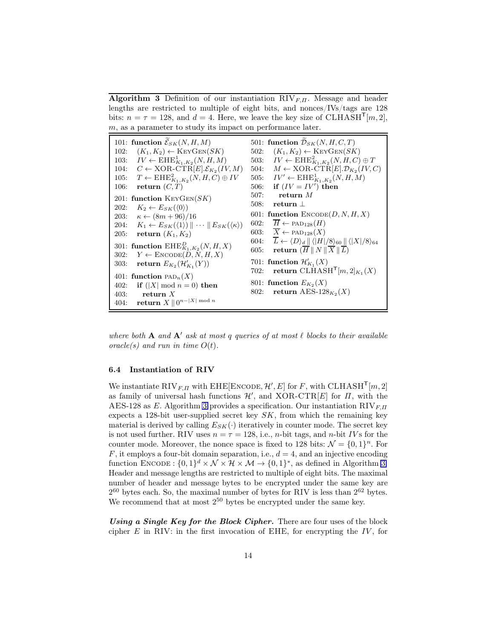<span id="page-13-0"></span>**Algorithm 3** Definition of our instantiation  $RIV_{F,\Pi}$ . Message and header lengths are restricted to multiple of eight bits, and nonces/IVs/tags are 128 bits:  $n = \tau = 128$ , and  $d = 4$ . Here, we leave the key size of CLHASH<sup>T</sup>[m, 2],  $m$ , as a parameter to study its impact on performance later.

|             | 101: function $\widetilde{\mathcal{E}}_{SK}(N, H, M)$                                           |      | 501: function $\widetilde{\mathcal{D}}_{SK}(N, H, C, T)$                                                                 |
|-------------|-------------------------------------------------------------------------------------------------|------|--------------------------------------------------------------------------------------------------------------------------|
| 102:        | $(K_1, K_2) \leftarrow \text{KEYGEN}(SK)$                                                       | 502: | $(K_1, K_2) \leftarrow \text{KEYGEN}(SK)$                                                                                |
|             | 103: $IV \leftarrow \text{EHE}_{K_1,K_2}^1(N,H,M)$                                              |      | 503: $IV \leftarrow EHE_{K_1,K_2}^2(N,H,C) \oplus T$                                                                     |
|             | 104: $C \leftarrow \text{XOR-CTR}[E].\mathcal{E}_{K_2}(IV, M)]$                                 |      | 504: $M \leftarrow \text{XOR-CTR}[E].\mathcal{D}_{K_2}(IV, C)$                                                           |
|             | 105: $T \leftarrow \text{EHE}_{K_1,K_2}^2(N,H,C) \oplus IV$                                     |      | 505: $IV' \leftarrow EHE_{K_1,K_2}^1(N,H,M)$                                                                             |
| 106:        | return $(C,T)$                                                                                  |      | 506: if $(IV = IV')$ then                                                                                                |
|             | 201: function $KeyGen(SK)$                                                                      | 507: | return $M$                                                                                                               |
|             | 202: $K_2 \leftarrow E_{SK}(\langle 0 \rangle)$                                                 | 508: | return $\perp$                                                                                                           |
|             | 203: $\kappa \leftarrow (8m + 96)/16$                                                           |      | 601: function $\text{ENCODE}(D, N, H, X)$                                                                                |
|             | 204: $K_1 \leftarrow E_{SK}(\langle 1 \rangle) \cdots \parallel E_{SK}(\langle \kappa \rangle)$ | 602: | $\overline{H} \leftarrow \text{PAD}_{128}(H)$                                                                            |
|             | 205: <b>return</b> $(K_1, K_2)$                                                                 |      | 603: $\overline{X} \leftarrow \text{PAD}_{128}(X)$                                                                       |
|             | 301: function $\text{EHE}_{K_1,K_2}^D(N,H,X)$                                                   |      | 604: $\overline{L} \leftarrow \langle D \rangle_d \ \langle  H /8 \rangle_{60} \ \langle  X /8 \rangle_{64}$             |
| <b>302:</b> | $Y \leftarrow$ ENCODE $(D, N, H, X)$                                                            | 605: | $\textbf{return} \hspace{0.1cm} (\overline{H} \hspace{0.2cm} \parallel N \parallel \overline{X} \parallel \overline{L})$ |
|             | 303: return $E_{K_2}(\mathcal{H}'_{K_1}(Y))$                                                    |      | 701: function $\mathcal{H}_{K_1}(X)$                                                                                     |
|             |                                                                                                 | 702: | return CLHASH <sup>T</sup> [m, 2] <sub>K<sub>1</sub></sub> (X)                                                           |
|             | 401: function $PAD_n(X)$                                                                        |      |                                                                                                                          |
| 402:        | if $( X  \mod n = 0)$ then                                                                      |      | 801: function $E_{K_2}(X)$                                                                                               |
| 403:        | return $X$                                                                                      | 802: | return AES-128 $_{K_2}(X)$                                                                                               |
| 404:        | return $X \parallel 0^{n- X  \bmod n}$                                                          |      |                                                                                                                          |

where both **A** and **A'** ask at most q queries of at most  $\ell$  blocks to their available oracle(s) and run in time  $O(t)$ .

#### 6.4 Instantiation of RIV

We instantiate  $\text{RIV}_{F,II}$  with  $\text{EHE}[\text{ENCODE}, \mathcal{H}', E]$  for F, with  $\text{CLHASH}^{\mathsf{T}}[m, 2]$ as family of universal hash functions  $\mathcal{H}'$ , and XOR-CTR[E] for  $\Pi$ , with the AES-128 as E. Algorithm [3](#page-13-0) provides a specification. Our instantiation  $RIV_{F,\Pi}$ expects a 128-bit user-supplied secret key  $SK$ , from which the remaining key material is derived by calling  $E_{SK}(\cdot)$  iteratively in counter mode. The secret key is not used further. RIV uses  $n = \tau = 128$ , i.e., *n*-bit tags, and *n*-bit *IVs* for the counter mode. Moreover, the nonce space is fixed to 128 bits:  $\mathcal{N} = \{0, 1\}^n$ . For  $F$ , it employs a four-bit domain separation, i.e.,  $d = 4$ , and an injective encoding function ENCODE :  $\{0,1\}^d \times \mathcal{N} \times \mathcal{H} \times \mathcal{M} \rightarrow \{0,1\}^*$ , as defined in Algorithm [3.](#page-13-0) Header and message lengths are restricted to multiple of eight bits. The maximal number of header and message bytes to be encrypted under the same key are  $2^{60}$  bytes each. So, the maximal number of bytes for RIV is less than  $2^{62}$  bytes. We recommend that at most  $2^{50}$  bytes be encrypted under the same key.

Using a Single Key for the Block Cipher. There are four uses of the block cipher  $E$  in RIV: in the first invocation of EHE, for encrypting the  $IV$ , for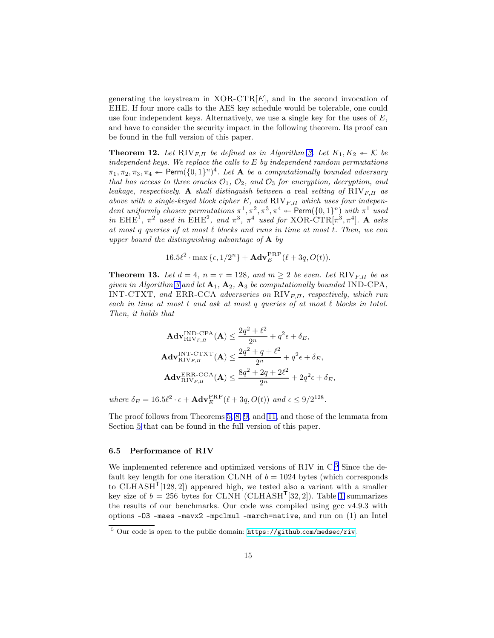generating the keystream in  $XOR-CTR[E]$ , and in the second invocation of EHE. If four more calls to the AES key schedule would be tolerable, one could use four independent keys. Alternatively, we use a single key for the uses of  $E$ , and have to consider the security impact in the following theorem. Its proof can be found in the full version of this paper.

**Theorem 12.** Let  $\text{RIV}_{F,\Pi}$  be defined as in Algorithm [3.](#page-13-0) Let  $K_1, K_2 \leftarrow \mathcal{K}$  be independent keys. We replace the calls to E by independent random permutations  $\pi_1, \pi_2, \pi_3, \pi_4 \leftarrow \textsf{Perm}(\{0, 1\}^n)^4$ . Let **A** be a computationally bounded adversary that has access to three oracles  $\mathcal{O}_1$ ,  $\mathcal{O}_2$ , and  $\mathcal{O}_3$  for encryption, decryption, and leakage, respectively. A shall distinguish between a real setting of  $RIV_{F,II}$  as above with a single-keyed block cipher E, and  $RIV_{F,II}$  which uses four independent uniformly chosen permutations  $\pi^1, \pi^2, \pi^3, \pi^4 \leftarrow \text{Perm}(\{0, 1\}^n)$  with  $\pi^1$  used in EHE<sup>1</sup>,  $\pi^2$  used in EHE<sup>2</sup>, and  $\pi^3$ ,  $\pi^4$  used for XOR-CTR[ $\pi^3$ ,  $\pi^4$ ]. A asks at most q queries of at most  $\ell$  blocks and runs in time at most t. Then, we can upper bound the distinguishing advantage of  $A$  by

$$
16.5\ell^2 \cdot \max{\{\epsilon, 1/2^n\}} + \mathbf{Adv}_{E}^{\mathrm{PRP}}(\ell+3q, O(t)).
$$

**Theorem 13.** Let  $d = 4$ ,  $n = \tau = 128$ , and  $m \geq 2$  be even. Let RIV<sub>F, II</sub> be as given in Algorithm [3](#page-13-0) and let  $A_1, A_2, A_3$  be computationally bounded IND-CPA, INT-CTXT, and ERR-CCA adversaries on  $RIV_{F,\Pi}$ , respectively, which run each in time at most  $t$  and ask at most  $q$  queries of at most  $\ell$  blocks in total. Then, it holds that

$$
\mathbf{Adv}_{\mathrm{RIV}_{F,H}}^{\mathrm{IND-CPA}}(\mathbf{A}) \le \frac{2q^2 + \ell^2}{2^n} + q^2 \epsilon + \delta_E,
$$
\n
$$
\mathbf{Adv}_{\mathrm{RIV}_{F,H}}^{\mathrm{INT-CTXT}}(\mathbf{A}) \le \frac{2q^2 + q + \ell^2}{2^n} + q^2 \epsilon + \delta_E,
$$
\n
$$
\mathbf{Adv}_{\mathrm{RIV}_{F,H}}^{\mathrm{ERR-CCA}}(\mathbf{A}) \le \frac{8q^2 + 2q + 2\ell^2}{2^n} + 2q^2 \epsilon + \delta_E,
$$

where  $\delta_E = 16.5\ell^2 \cdot \epsilon + \mathbf{Adv}_E^{\text{PRP}}(\ell + 3q, O(t))$  and  $\epsilon \leq 9/2^{128}$ .

The proof follows from Theorems [5,](#page-7-2) [8,](#page-11-1) [9,](#page-11-2) and [11,](#page-12-2) and those of the lemmata from Section [5](#page-7-0) that can be found in the full version of this paper.

#### 6.5 Performance of RIV

We implemented reference and optimized versions of RIV in  $C<sup>5</sup>$  $C<sup>5</sup>$  $C<sup>5</sup>$  Since the default key length for one iteration CLNH of  $b = 1024$  bytes (which corresponds to CLHASH<sup>T</sup>[128, 2]) appeared high, we tested also a variant with a smaller key size of  $b = 256$  bytes for CLNH (CLHASH<sup>T</sup>[32, 2]). Table [1](#page-15-1) summarizes the results of our benchmarks. Our code was compiled using gcc v4.9.3 with options -O3 -maes -mavx2 -mpclmul -march=native, and run on (1) an Intel

<span id="page-14-0"></span> $5$  Our code is open to the public domain: https://github.[com/medsec/riv](https://github.com/medsec/riv).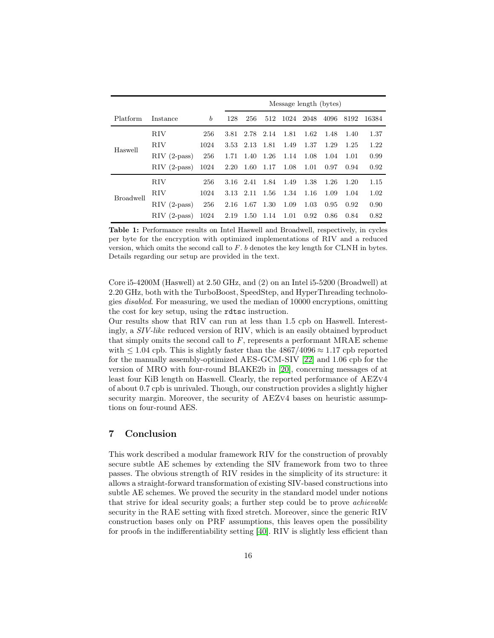<span id="page-15-1"></span>

|                  |                    |      |      | Message length (bytes) |      |      |      |      |      |       |  |
|------------------|--------------------|------|------|------------------------|------|------|------|------|------|-------|--|
| Platform         | Instance           | b    | 128  | 256                    | 512  | 1024 | 2048 | 4096 | 8192 | 16384 |  |
|                  | <b>RIV</b>         | 256  | 3.81 | 2.78                   | 2.14 | 1.81 | 1.62 | 1.48 | 1.40 | 1.37  |  |
|                  | RIV                | 1024 | 3.53 | 2.13                   | 1.81 | 1.49 | 1.37 | 1.29 | 1.25 | 1.22  |  |
| Haswell          | $\rm RIV$ (2-pass) | 256  | 1.71 | 1.40                   | 1.26 | 1.14 | 1.08 | 1.04 | 1.01 | 0.99  |  |
|                  | $\rm RIV$ (2-pass) | 1024 | 2.20 | 1.60                   | 1.17 | 1.08 | 1.01 | 0.97 | 0.94 | 0.92  |  |
|                  | RIV                | 256  | 3.16 | 2.41                   | 1.84 | 1.49 | 1.38 | 1.26 | 1.20 | 1.15  |  |
| <b>Broadwell</b> | <b>RIV</b>         | 1024 | 3.13 | 2.11                   | 1.56 | 1.34 | 1.16 | 1.09 | 1.04 | 1.02  |  |
|                  | $RIV$ (2-pass)     | 256  | 2.16 | 1.67                   | 1.30 | 1.09 | 1.03 | 0.95 | 0.92 | 0.90  |  |
|                  | $\rm RIV$ (2-pass) | 1024 | 2.19 | 1.50                   | 1.14 | 1.01 | 0.92 | 0.86 | 0.84 | 0.82  |  |

Table 1: Performance results on Intel Haswell and Broadwell, respectively, in cycles per byte for the encryption with optimized implementations of RIV and a reduced version, which omits the second call to  $F$ .  $b$  denotes the key length for CLNH in bytes. Details regarding our setup are provided in the text.

Core i5-4200M (Haswell) at 2.50 GHz, and (2) on an Intel i5-5200 (Broadwell) at 2.20 GHz, both with the TurboBoost, SpeedStep, and HyperThreading technologies disabled. For measuring, we used the median of 10000 encryptions, omitting the cost for key setup, using the rdtsc instruction.

Our results show that RIV can run at less than 1.5 cpb on Haswell. Interestingly, a SIV-like reduced version of RIV, which is an easily obtained byproduct that simply omits the second call to  $F$ , represents a performant MRAE scheme with  $\leq 1.04$  cpb. This is slightly faster than the  $4867/4096 \approx 1.17$  cpb reported for the manually assembly-optimized AES-GCM-SIV [\[22\]](#page-17-1) and 1.06 cpb for the version of MRO with four-round BLAKE2b in [\[20\]](#page-17-0), concerning messages of at least four KiB length on Haswell. Clearly, the reported performance of AEZv4 of about 0.7 cpb is unrivaled. Though, our construction provides a slightly higher security margin. Moreover, the security of AEZv4 bases on heuristic assumptions on four-round AES.

## <span id="page-15-0"></span>7 Conclusion

This work described a modular framework RIV for the construction of provably secure subtle AE schemes by extending the SIV framework from two to three passes. The obvious strength of RIV resides in the simplicity of its structure: it allows a straight-forward transformation of existing SIV-based constructions into subtle AE schemes. We proved the security in the standard model under notions that strive for ideal security goals; a further step could be to prove achievable security in the RAE setting with fixed stretch. Moreover, since the generic RIV construction bases only on PRF assumptions, this leaves open the possibility for proofs in the indifferentiability setting [\[40\]](#page-18-6). RIV is slightly less efficient than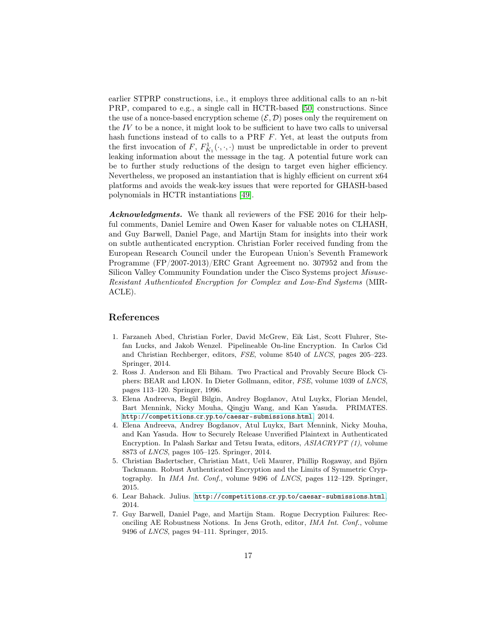earlier STPRP constructions, i.e., it employs three additional calls to an n-bit PRP, compared to e.g., a single call in HCTR-based [50] constructions. Since the use of a nonce-based encryption scheme  $(\mathcal{E}, \mathcal{D})$  poses only the requirement on the  $IV$  to be a nonce, it might look to be sufficient to have two calls to universal hash functions instead of to calls to a PRF F. Yet, at least the outputs from the first invocation of F,  $F_{K_1}^1(\cdot,\cdot,\cdot)$  must be unpredictable in order to prevent leaking information about the message in the tag. A potential future work can be to further study reductions of the design to target even higher efficiency. Nevertheless, we proposed an instantiation that is highly efficient on current x64 platforms and avoids the weak-key issues that were reported for GHASH-based polynomials in HCTR instantiations [49].

Acknowledgments. We thank all reviewers of the FSE 2016 for their helpful comments, Daniel Lemire and Owen Kaser for valuable notes on CLHASH, and Guy Barwell, Daniel Page, and Martijn Stam for insights into their work on subtle authenticated encryption. Christian Forler received funding from the European Research Council under the European Union's Seventh Framework Programme (FP/2007-2013)/ERC Grant Agreement no. 307952 and from the Silicon Valley Community Foundation under the Cisco Systems project Misuse-Resistant Authenticated Encryption for Complex and Low-End Systems (MIR-ACLE).

### References

- 1. Farzaneh Abed, Christian Forler, David McGrew, Eik List, Scott Fluhrer, Stefan Lucks, and Jakob Wenzel. Pipelineable On-line Encryption. In Carlos Cid and Christian Rechberger, editors, *FSE*, volume 8540 of *LNCS*, pages 205–223. Springer, 2014.
- 2. Ross J. Anderson and Eli Biham. Two Practical and Provably Secure Block Ciphers: BEAR and LION. In Dieter Gollmann, editor, *FSE*, volume 1039 of *LNCS*, pages 113–120. Springer, 1996.
- <span id="page-16-3"></span>3. Elena Andreeva, Begül Bilgin, Andrey Bogdanov, Atul Luykx, Florian Mendel, Bart Mennink, Nicky Mouha, Qingju Wang, and Kan Yasuda. PRIMATES. http://competitions.cr.yp.[to/caesar-submissions](http://competitions.cr.yp.to/caesar-submissions.html).html, 2014.
- 4. Elena Andreeva, Andrey Bogdanov, Atul Luykx, Bart Mennink, Nicky Mouha, and Kan Yasuda. How to Securely Release Unverified Plaintext in Authenticated Encryption. In Palash Sarkar and Tetsu Iwata, editors, *ASIACRYPT (1)*, volume 8873 of *LNCS*, pages 105–125. Springer, 2014.
- <span id="page-16-2"></span>5. Christian Badertscher, Christian Matt, Ueli Maurer, Phillip Rogaway, and Björn Tackmann. Robust Authenticated Encryption and the Limits of Symmetric Cryptography. In *IMA Int. Conf.*, volume 9496 of *LNCS*, pages 112–129. Springer, 2015.
- <span id="page-16-1"></span><span id="page-16-0"></span>6. Lear Bahack. Julius. http://competitions.cr.yp.[to/caesar-submissions](http://competitions.cr.yp.to/caesar-submissions.html).html, 2014.
- 7. Guy Barwell, Daniel Page, and Martijn Stam. Rogue Decryption Failures: Reconciling AE Robustness Notions. In Jens Groth, editor, *IMA Int. Conf.*, volume 9496 of *LNCS*, pages 94–111. Springer, 2015.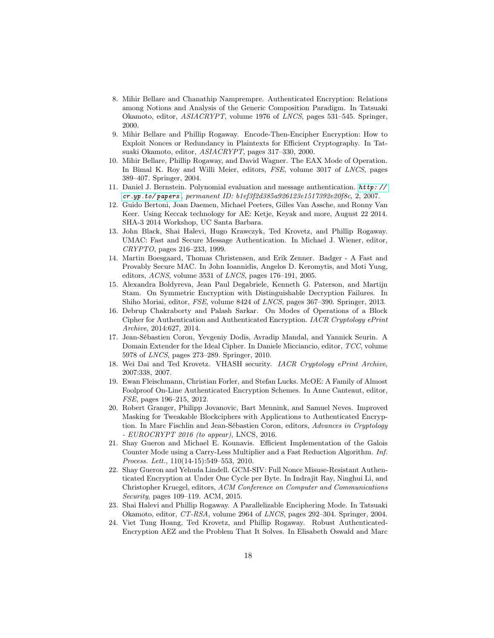- 8. Mihir Bellare and Chanathip Namprempre. Authenticated Encryption: Relations among Notions and Analysis of the Generic Composition Paradigm. In Tatsuaki Okamoto, editor, *ASIACRYPT*, volume 1976 of *LNCS*, pages 531–545. Springer, 2000.
- 9. Mihir Bellare and Phillip Rogaway. Encode-Then-Encipher Encryption: How to Exploit Nonces or Redundancy in Plaintexts for Efficient Cryptography. In Tatsuaki Okamoto, editor, *ASIACRYPT*, pages 317–330, 2000.
- 10. Mihir Bellare, Phillip Rogaway, and David Wagner. The EAX Mode of Operation. In Bimal K. Roy and Willi Meier, editors, *FSE*, volume 3017 of *LNCS*, pages 389–407. Springer, 2004.
- <span id="page-17-3"></span>11. Daniel J. Bernstein. Polynomial evaluation and message authentication. [http: //](http://cr.yp.to/papers) cr .yp .[to/ papers](http://cr.yp.to/papers) *, permanent ID: b1ef3f2d385a926123e1517392e20f8c*, 2, 2007.
- <span id="page-17-2"></span>12. Guido Bertoni, Joan Daemen, Michael Peeters, Gilles Van Assche, and Ronny Van Keer. Using Keccak technology for AE: Ketje, Keyak and more, August 22 2014. SHA-3 2014 Workshop, UC Santa Barbara.
- 13. John Black, Shai Halevi, Hugo Krawczyk, Ted Krovetz, and Phillip Rogaway. UMAC: Fast and Secure Message Authentication. In Michael J. Wiener, editor, *CRYPTO*, pages 216–233, 1999.
- 14. Martin Boesgaard, Thomas Christensen, and Erik Zenner. Badger A Fast and Provably Secure MAC. In John Ioannidis, Angelos D. Keromytis, and Moti Yung, editors, *ACNS*, volume 3531 of *LNCS*, pages 176–191, 2005.
- 15. Alexandra Boldyreva, Jean Paul Degabriele, Kenneth G. Paterson, and Martijn Stam. On Symmetric Encryption with Distinguishable Decryption Failures. In Shiho Moriai, editor, *FSE*, volume 8424 of *LNCS*, pages 367–390. Springer, 2013.
- 16. Debrup Chakraborty and Palash Sarkar. On Modes of Operations of a Block Cipher for Authentication and Authenticated Encryption. *IACR Cryptology ePrint Archive*, 2014:627, 2014.
- 17. Jean-Sébastien Coron, Yevgeniy Dodis, Avradip Mandal, and Yannick Seurin. A Domain Extender for the Ideal Cipher. In Daniele Micciancio, editor, *TCC*, volume 5978 of *LNCS*, pages 273–289. Springer, 2010.
- 18. Wei Dai and Ted Krovetz. VHASH security. *IACR Cryptology ePrint Archive*, 2007:338, 2007.
- 19. Ewan Fleischmann, Christian Forler, and Stefan Lucks. McOE: A Family of Almost Foolproof On-Line Authenticated Encryption Schemes. In Anne Canteaut, editor, *FSE*, pages 196–215, 2012.
- <span id="page-17-0"></span>20. Robert Granger, Philipp Jovanovic, Bart Mennink, and Samuel Neves. Improved Masking for Tweakable Blockciphers with Applications to Authenticated Encryption. In Marc Fischlin and Jean-Sébastien Coron, editors, *Advances in Cryptology - EUROCRYPT 2016 (to appear)*, LNCS, 2016.
- 21. Shay Gueron and Michael E. Kounavis. Efficient Implementation of the Galois Counter Mode using a Carry-Less Multiplier and a Fast Reduction Algorithm. *Inf. Process. Lett.*, 110(14-15):549–553, 2010.
- <span id="page-17-1"></span>22. Shay Gueron and Yehuda Lindell. GCM-SIV: Full Nonce Misuse-Resistant Authenticated Encryption at Under One Cycle per Byte. In Indrajit Ray, Ninghui Li, and Christopher Kruegel, editors, *ACM Conference on Computer and Communications Security*, pages 109–119. ACM, 2015.
- 23. Shai Halevi and Phillip Rogaway. A Parallelizable Enciphering Mode. In Tatsuaki Okamoto, editor, *CT-RSA*, volume 2964 of *LNCS*, pages 292–304. Springer, 2004.
- 24. Viet Tung Hoang, Ted Krovetz, and Phillip Rogaway. Robust Authenticated-Encryption AEZ and the Problem That It Solves. In Elisabeth Oswald and Marc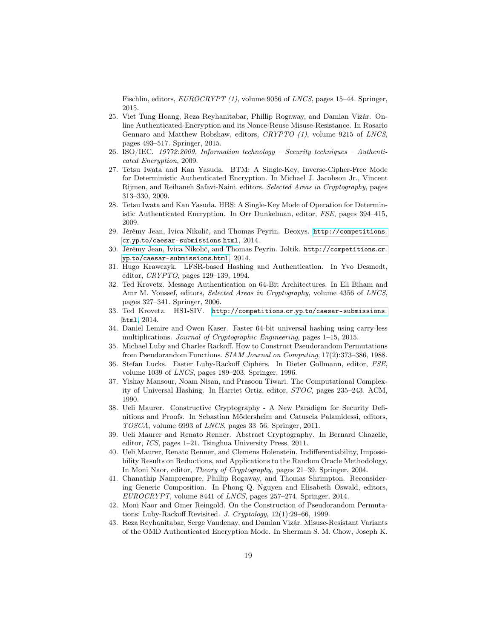Fischlin, editors, *EUROCRYPT (1)*, volume 9056 of *LNCS*, pages 15–44. Springer, 2015.

- 25. Viet Tung Hoang, Reza Reyhanitabar, Phillip Rogaway, and Damian Vizár. Online Authenticated-Encryption and its Nonce-Reuse Misuse-Resistance. In Rosario Gennaro and Matthew Robshaw, editors, *CRYPTO (1)*, volume 9215 of *LNCS*, pages 493–517. Springer, 2015.
- <span id="page-18-4"></span>26. ISO/IEC. *19772:2009, Information technology – Security techniques – Authenticated Encryption*, 2009.
- 27. Tetsu Iwata and Kan Yasuda. BTM: A Single-Key, Inverse-Cipher-Free Mode for Deterministic Authenticated Encryption. In Michael J. Jacobson Jr., Vincent Rijmen, and Reihaneh Safavi-Naini, editors, *Selected Areas in Cryptography*, pages 313–330, 2009.
- 28. Tetsu Iwata and Kan Yasuda. HBS: A Single-Key Mode of Operation for Deterministic Authenticated Encryption. In Orr Dunkelman, editor, *FSE*, pages 394–415, 2009.
- <span id="page-18-0"></span>29. Jérémy Jean, Ivica Nikolić, and Thomas Peyrin. Deoxys. [http://competitions](http://competitions.cr.yp.to/caesar-submissions.html). cr.yp.[to/caesar-submissions](http://competitions.cr.yp.to/caesar-submissions.html).html, 2014.
- <span id="page-18-1"></span>30. Jérémy Jean, Ivica Nikolić, and Thomas Peyrin. Joltik. [http://competitions](http://competitions.cr.yp.to/caesar-submissions.html).cr. yp.[to/caesar-submissions](http://competitions.cr.yp.to/caesar-submissions.html).html, 2014.
- 31. Hugo Krawczyk. LFSR-based Hashing and Authentication. In Yvo Desmedt, editor, *CRYPTO*, pages 129–139, 1994.
- 32. Ted Krovetz. Message Authentication on 64-Bit Architectures. In Eli Biham and Amr M. Youssef, editors, *Selected Areas in Cryptography*, volume 4356 of *LNCS*, pages 327–341. Springer, 2006.
- <span id="page-18-2"></span>33. Ted Krovetz. HS1-SIV. http://competitions.cr.yp.[to/caesar-submissions](http://competitions.cr.yp.to/caesar-submissions.html). [html](http://competitions.cr.yp.to/caesar-submissions.html), 2014.
- <span id="page-18-5"></span>34. Daniel Lemire and Owen Kaser. Faster 64-bit universal hashing using carry-less multiplications. *Journal of Cryptographic Engineering*, pages 1–15, 2015.
- 35. Michael Luby and Charles Rackoff. How to Construct Pseudorandom Permutations from Pseudorandom Functions. *SIAM Journal on Computing*, 17(2):373–386, 1988.
- 36. Stefan Lucks. Faster Luby-Rackoff Ciphers. In Dieter Gollmann, editor, *FSE*, volume 1039 of *LNCS*, pages 189–203. Springer, 1996.
- 37. Yishay Mansour, Noam Nisan, and Prasoon Tiwari. The Computational Complexity of Universal Hashing. In Harriet Ortiz, editor, *STOC*, pages 235–243. ACM, 1990.
- 38. Ueli Maurer. Constructive Cryptography A New Paradigm for Security Definitions and Proofs. In Sebastian Mödersheim and Catuscia Palamidessi, editors, *TOSCA*, volume 6993 of *LNCS*, pages 33–56. Springer, 2011.
- 39. Ueli Maurer and Renato Renner. Abstract Cryptography. In Bernard Chazelle, editor, *ICS*, pages 1–21. Tsinghua University Press, 2011.
- <span id="page-18-6"></span>40. Ueli Maurer, Renato Renner, and Clemens Holenstein. Indifferentiability, Impossibility Results on Reductions, and Applications to the Random Oracle Methodology. In Moni Naor, editor, *Theory of Cryptography*, pages 21–39. Springer, 2004.
- 41. Chanathip Namprempre, Phillip Rogaway, and Thomas Shrimpton. Reconsidering Generic Composition. In Phong Q. Nguyen and Elisabeth Oswald, editors, *EUROCRYPT*, volume 8441 of *LNCS*, pages 257–274. Springer, 2014.
- 42. Moni Naor and Omer Reingold. On the Construction of Pseudorandom Permutations: Luby-Rackoff Revisited. *J. Cryptology*, 12(1):29–66, 1999.
- <span id="page-18-3"></span>43. Reza Reyhanitabar, Serge Vaudenay, and Damian Vizár. Misuse-Resistant Variants of the OMD Authenticated Encryption Mode. In Sherman S. M. Chow, Joseph K.